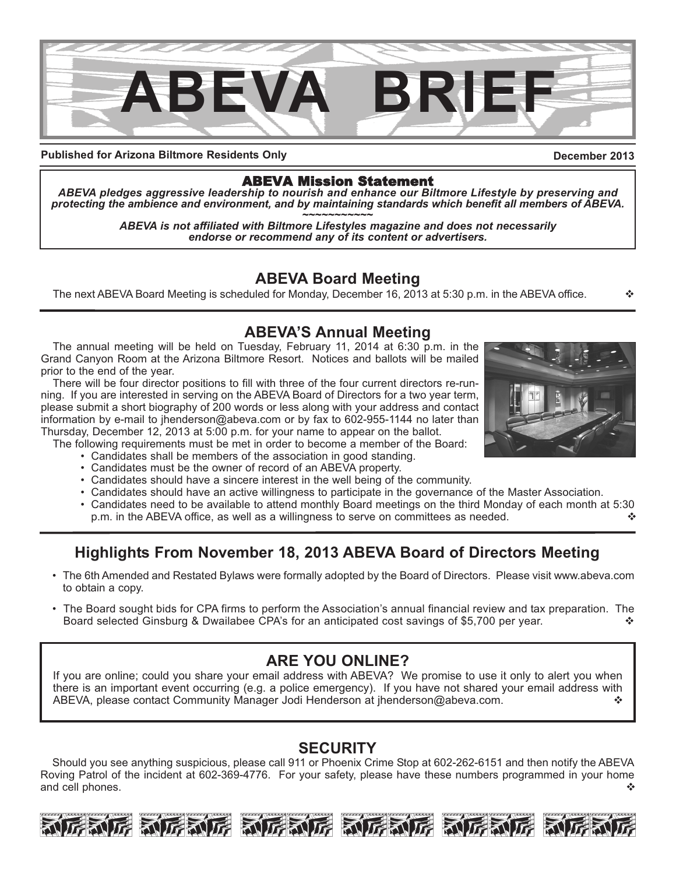

**Published for Arizona Biltmore Residents Only**

## **December 2013**

## ABEVA Mission Statement

*ABEVA pledges aggressive leadership to nourish and enhance our Biltmore Lifestyle by preserving and* protecting the ambience and environment, and by maintaining standards which benefit all members of ABEVA.<br>ABEVA is not affiliated with Biltmore Lifestyles magazine and does not necessarily

*endorse or recommend any of its content or advertisers.*

# **ABEVA Board Meeting**

The next ABEVA Board Meeting is scheduled for Monday, December 16, 2013 at 5:30 p.m. in the ABEVA office.

## **ABEVA'S Annual Meeting**

The annual meeting will be held on Tuesday, February 11, 2014 at 6:30 p.m. in the Grand Canyon Room at the Arizona Biltmore Resort. Notices and ballots will be mailed prior to the end of the year.

There will be four director positions to fill with three of the four current directors re-running. If you are interested in serving on the ABEVA Board of Directors for a two year term, please submit a short biography of 200 words or less along with your address and contact information by e-mail to jhenderson@abeva.com or by fax to 602-955-1144 no later than Thursday, December 12, 2013 at 5:00 p.m. for your name to appear on the ballot.

The following requirements must be met in order to become a member of the Board:

- Candidates shall be members of the association in good standing.
- Candidates must be the owner of record of an ABEVA property.
- Candidates should have a sincere interest in the well being of the community.
- Candidates should have an active willingness to participate in the governance of the Master Association.
- Candidates need to be available to attend monthly Board meetings on the third Monday of each month at 5:30 p.m. in the ABEVA office, as well as a willingness to serve on committees as needed.  $\cdot$

# **Highlights From November 18, 2013 ABEVA Board of Directors Meeting**

- The 6th Amended and Restated Bylaws were formally adopted by the Board of Directors. Please visit www.abeva.com to obtain a copy.
- The Board sought bids for CPA firms to perform the Association's annual financial review and tax preparation. The Board selected Ginsburg & Dwailabee CPA's for an anticipated cost savings of \$5,700 per year.

# **ARE YOU ONLINE?**

If you are online; could you share your email address with ABEVA? We promise to use it only to alert you when there is an important event occurring (e.g. a police emergency). If you have not shared your email address with ABEVA, please contact Community Manager Jodi Henderson at jhenderson@abeva.com. v

# **SECURITY**

Should you see anything suspicious, please call 911 or Phoenix Crime Stop at 602-262-6151 and then notify the ABEVA Roving Patrol of the incident at 602-369-4776. For your safety, please have these numbers programmed in your home and cell phones. v





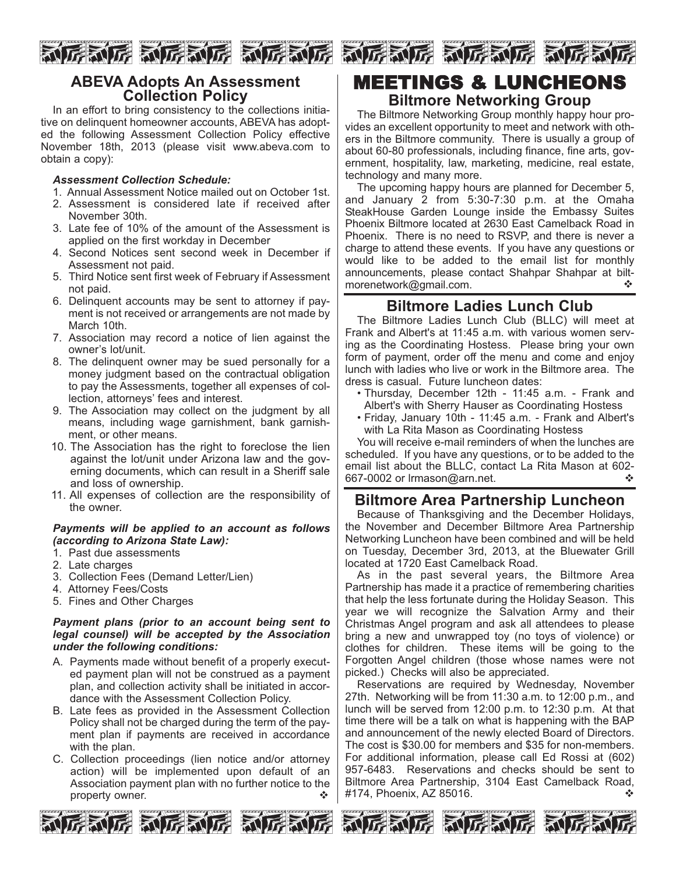

## **ABEVA Adopts An Assessment Collection Policy**

In an effort to bring consistency to the collections initiative on delinquent homeowner accounts, ABEVA has adopted the following Assessment Collection Policy effective November 18th, 2013 (please visit www.abeva.com to obtain a copy):

### *Assessment Collection Schedule:*

- 1. Annual Assessment Notice mailed out on October 1st.
- 2. Assessment is considered late if received after November 30th.
- 3. Late fee of 10% of the amount of the Assessment is applied on the first workday in December
- 4. Second Notices sent second week in December if Assessment not paid.
- 5. Third Notice sent first week of February if Assessment not paid.
- 6. Delinquent accounts may be sent to attorney if payment is not received or arrangements are not made by March 10th.
- 7. Association may record a notice of lien against the owner's lot/unit.
- 8. The delinquent owner may be sued personally for a money judgment based on the contractual obligation to pay the Assessments, together all expenses of collection, attorneys' fees and interest.
- 9. The Association may collect on the judgment by all means, including wage garnishment, bank garnishment, or other means.
- 10. The Association has the right to foreclose the lien against the lot/unit under Arizona law and the governing documents, which can result in a Sheriff sale and loss of ownership.
- 11. All expenses of collection are the responsibility of the owner.

#### *Payments will be applied to an account as follows (according to Arizona State Law):*

- 1. Past due assessments
- 2. Late charges
- 3. Collection Fees (Demand Letter/Lien)
- 4. Attorney Fees/Costs
- 5. Fines and Other Charges

#### *Payment plans (prior to an account being sent to legal counsel) will be accepted by the Association under the following conditions:*

- A. Payments made without benefit of a properly executed payment plan will not be construed as a payment plan, and collection activity shall be initiated in accordance with the Assessment Collection Policy.
- B. Late fees as provided in the Assessment Collection Policy shall not be charged during the term of the payment plan if payments are received in accordance with the plan.
- C. Collection proceedings (lien notice and/or attorney action) will be implemented upon default of an Association payment plan with no further notice to the property owner.



# MEETINGS & LUNCHEONS

## **Biltmore Networking Group**

The Biltmore Networking Group monthly happy hour provides an excellent opportunity to meet and network with others in the Biltmore community. There is usually a group of about 60-80 professionals, including finance, fine arts, government, hospitality, law, marketing, medicine, real estate, technology and many more.

The upcoming happy hours are planned for December 5, and January 2 from 5:30-7:30 p.m. at the Omaha SteakHouse Garden Lounge inside the Embassy Suites Phoenix Biltmore located at 2630 East Camelback Road in Phoenix. There is no need to RSVP, and there is never a charge to attend these events. If you have any questions or would like to be added to the email list for monthly announcements, please contact Shahpar Shahpar at biltmorenetwork@gmail.com. v

# **Biltmore Ladies Lunch Club**

The Biltmore Ladies Lunch Club (BLLC) will meet at Frank and Albert's at 11:45 a.m. with various women serving as the Coordinating Hostess. Please bring your own form of payment, order off the menu and come and enjoy lunch with ladies who live or work in the Biltmore area. The dress is casual. Future luncheon dates:

- Thursday, December 12th 11:45 a.m. Frank and Albert's with Sherry Hauser as Coordinating Hostess
- Friday, January 10th 11:45 a.m. Frank and Albert's with La Rita Mason as Coordinating Hostess

You will receive e-mail reminders of when the lunches are scheduled. If you have any questions, or to be added to the email list about the BLLC, contact La Rita Mason at 602- 667-0002 or lrmason@arn.net.

## **Biltmore Area Partnership Luncheon**

Because of Thanksgiving and the December Holidays, the November and December Biltmore Area Partnership Networking Luncheon have been combined and will be held on Tuesday, December 3rd, 2013, at the Bluewater Grill located at 1720 East Camelback Road.

As in the past several years, the Biltmore Area Partnership has made it a practice of remembering charities that help the less fortunate during the Holiday Season. This year we will recognize the Salvation Army and their Christmas Angel program and ask all attendees to please bring a new and unwrapped toy (no toys of violence) or clothes for children. These items will be going to the Forgotten Angel children (those whose names were not picked.) Checks will also be appreciated.

Reservations are required by Wednesday, November 27th. Networking will be from 11:30 a.m. to 12:00 p.m., and lunch will be served from 12:00 p.m. to 12:30 p.m. At that time there will be a talk on what is happening with the BAP and announcement of the newly elected Board of Directors. The cost is \$30.00 for members and \$35 for non-members. For additional information, please call Ed Rossi at (602) 957-6483. Reservations and checks should be sent to Biltmore Area Partnership, 3104 East Camelback Road, #174, Phoenix, AZ 85016. v







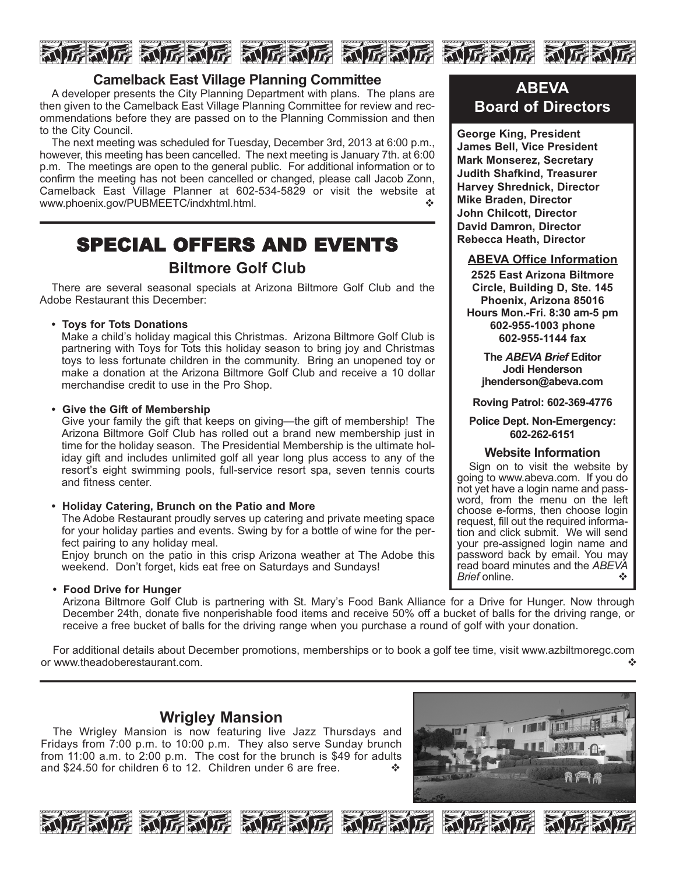

## **Camelback East Village Planning Committee**

A developer presents the City Planning Department with plans. The plans are then given to the Camelback East Village Planning Committee for review and recommendations before they are passed on to the Planning Commission and then to the City Council.

The next meeting was scheduled for Tuesday, December 3rd, 2013 at 6:00 p.m., however, this meeting has been cancelled. The next meeting is January 7th. at 6:00 p.m. The meetings are open to the general public. For additional information or to confirm the meeting has not been cancelled or changed, please call Jacob Zonn, Camelback East Village Planner at 602-534-5829 or visit the website at www.phoenix.gov/PUBMEETC/indxhtml.html.

# SPECIAL OFFERS AND EVENTS

# **Biltmore Golf Club**

There are several seasonal specials at Arizona Biltmore Golf Club and the Adobe Restaurant this December:

**• Toys for Tots Donations**

Make a child's holiday magical this Christmas. Arizona Biltmore Golf Club is partnering with Toys for Tots this holiday season to bring joy and Christmas toys to less fortunate children in the community. Bring an unopened toy or make a donation at the Arizona Biltmore Golf Club and receive a 10 dollar merchandise credit to use in the Pro Shop.

#### **• Give the Gift of Membership**

Give your family the gift that keeps on giving—the gift of membership! The Arizona Biltmore Golf Club has rolled out a brand new membership just in time for the holiday season. The Presidential Membership is the ultimate holiday gift and includes unlimited golf all year long plus access to any of the resort's eight swimming pools, full-service resort spa, seven tennis courts and fitness center.

#### **• Holiday Catering, Brunch on the Patio and More**

The Adobe Restaurant proudly serves up catering and private meeting space for your holiday parties and events. Swing by for a bottle of wine for the perfect pairing to any holiday meal.

Enjoy brunch on the patio in this crisp Arizona weather at The Adobe this weekend. Don't forget, kids eat free on Saturdays and Sundays!

#### **• Food Drive for Hunger**

Arizona Biltmore Golf Club is partnering with St. Mary's Food Bank Alliance for a Drive for Hunger. Now through December 24th, donate five nonperishable food items and receive 50% off a bucket of balls for the driving range, or receive a free bucket of balls for the driving range when you purchase a round of golf with your donation.

For additional details about December promotions, memberships or to book a golf tee time, visit www.azbiltmoregc.com or www.theadoberestaurant.com.

## **Wrigley Mansion**

The Wrigley Mansion is now featuring live Jazz Thursdays and Fridays from 7:00 p.m. to 10:00 p.m. They also serve Sunday brunch from 11:00 a.m. to 2:00 p.m. The cost for the brunch is \$49 for adults and \$24.50 for children 6 to 12. Children under 6 are free.  $\cdot\cdot\cdot$ 













# **ABEVA Board of Directors**

**George King, President James Bell, Vice President Mark Monserez, Secretary Judith Shafkind, Treasurer Harvey Shrednick, Director Mike Braden, Director John Chilcott, Director David Damron, Director Rebecca Heath, Director**

## **ABEVA Office Information**

**2525 East Arizona Biltmore Circle, Building D, Ste. 145 Phoenix, Arizona 85016 Hours Mon.-Fri. 8:30 am-5 pm 602-955-1003 phone 602-955-1144 fax**

**The** *ABEVA Brief* **Editor Jodi Henderson jhenderson@abeva.com**

**Roving Patrol: 602-369-4776**

#### **Police Dept. Non-Emergency: 602-262-6151**

## **Website Information**

Sign on to visit the website by going to www.abeva.com. If you do not yet have a login name and password, from the menu on the left choose e-forms, then choose login request, fill out the required information and click submit. We will send your pre-assigned login name and password back by email. You may read board minutes and the *ABEVA Brief* online.